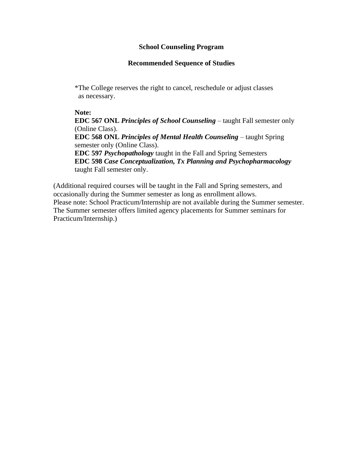#### **School Counseling Program**

## **Recommended Sequence of Studies**

\*The College reserves the right to cancel, reschedule or adjust classes as necessary.

#### **Note:**

**EDC 567 ONL** *Principles of School Counseling* – taught Fall semester only (Online Class). **EDC 568 ONL** *Principles of Mental Health Counseling* – taught Spring semester only (Online Class). **EDC 597** *Psychopathology* taught in the Fall and Spring Semesters **EDC 598** *Case Conceptualization, Tx Planning and Psychopharmacology* taught Fall semester only.

(Additional required courses will be taught in the Fall and Spring semesters, and occasionally during the Summer semester as long as enrollment allows. Please note: School Practicum/Internship are not available during the Summer semester. The Summer semester offers limited agency placements for Summer seminars for Practicum/Internship.)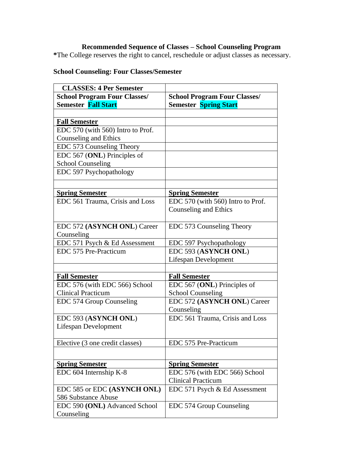## **Recommended Sequence of Classes – School Counseling Program**

**\***The College reserves the right to cancel, reschedule or adjust classes as necessary.

# **School Counseling: Four Classes/Semester**

| <b>CLASSES: 4 Per Semester</b>      |                                     |
|-------------------------------------|-------------------------------------|
| <b>School Program Four Classes/</b> | <b>School Program Four Classes/</b> |
| <b>Semester Fall Start</b>          | <b>Semester Spring Start</b>        |
|                                     |                                     |
| <b>Fall Semester</b>                |                                     |
| EDC 570 (with 560) Intro to Prof.   |                                     |
| <b>Counseling and Ethics</b>        |                                     |
| EDC 573 Counseling Theory           |                                     |
| EDC 567 (ONL) Principles of         |                                     |
| <b>School Counseling</b>            |                                     |
| EDC 597 Psychopathology             |                                     |
|                                     |                                     |
| <b>Spring Semester</b>              | <b>Spring Semester</b>              |
| EDC 561 Trauma, Crisis and Loss     | EDC 570 (with 560) Intro to Prof.   |
|                                     | <b>Counseling and Ethics</b>        |
|                                     |                                     |
| EDC 572 (ASYNCH ONL) Career         | EDC 573 Counseling Theory           |
| Counseling                          |                                     |
| EDC 571 Psych & Ed Assessment       | EDC 597 Psychopathology             |
| EDC 575 Pre-Practicum               | EDC 593 (ASYNCH ONL)                |
|                                     | Lifespan Development                |
|                                     |                                     |
| <b>Fall Semester</b>                | <b>Fall Semester</b>                |
| EDC 576 (with EDC 566) School       | EDC 567 (ONL) Principles of         |
| <b>Clinical Practicum</b>           | <b>School Counseling</b>            |
| EDC 574 Group Counseling            | EDC 572 (ASYNCH ONL) Career         |
|                                     | Counseling                          |
| EDC 593 (ASYNCH ONL)                | EDC 561 Trauma, Crisis and Loss     |
| <b>Lifespan Development</b>         |                                     |
| Elective (3 one credit classes)     | EDC 575 Pre-Practicum               |
|                                     |                                     |
| <b>Spring Semester</b>              | <b>Spring Semester</b>              |
| EDC 604 Internship K-8              | EDC 576 (with EDC 566) School       |
|                                     | <b>Clinical Practicum</b>           |
| EDC 585 or EDC (ASYNCH ONL)         | EDC 571 Psych & Ed Assessment       |
| 586 Substance Abuse                 |                                     |
| EDC 590 (ONL) Advanced School       | EDC 574 Group Counseling            |
| Counseling                          |                                     |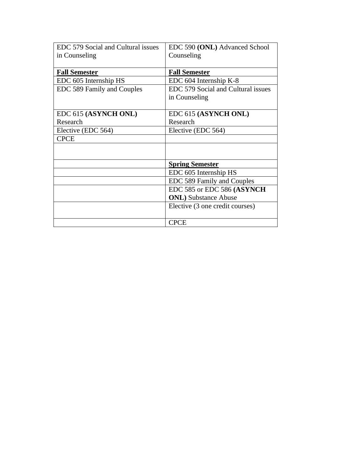| EDC 579 Social and Cultural issues | EDC 590 (ONL) Advanced School      |
|------------------------------------|------------------------------------|
| in Counseling                      | Counseling                         |
|                                    |                                    |
| <b>Fall Semester</b>               | <b>Fall Semester</b>               |
| EDC 605 Internship HS              | EDC 604 Internship K-8             |
| EDC 589 Family and Couples         | EDC 579 Social and Cultural issues |
|                                    | in Counseling                      |
|                                    |                                    |
| EDC 615 (ASYNCH ONL)               | EDC 615 (ASYNCH ONL)               |
| Research                           | Research                           |
| Elective (EDC 564)                 | Elective (EDC 564)                 |
| <b>CPCE</b>                        |                                    |
|                                    |                                    |
|                                    |                                    |
|                                    | <b>Spring Semester</b>             |
|                                    | EDC 605 Internship HS              |
|                                    | EDC 589 Family and Couples         |
|                                    | EDC 585 or EDC 586 (ASYNCH         |
|                                    | <b>ONL</b> ) Substance Abuse       |
|                                    | Elective (3 one credit courses)    |
|                                    |                                    |
|                                    | <b>CPCE</b>                        |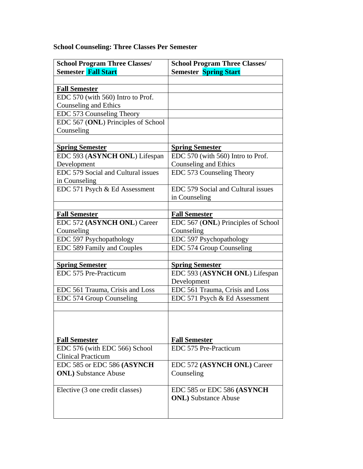# **School Counseling: Three Classes Per Semester**

| <b>School Program Three Classes/</b><br><b>Semester Fall Start</b> | <b>School Program Three Classes/</b><br><b>Semester Spring Start</b> |
|--------------------------------------------------------------------|----------------------------------------------------------------------|
|                                                                    |                                                                      |
| <b>Fall Semester</b>                                               |                                                                      |
| EDC 570 (with 560) Intro to Prof.                                  |                                                                      |
| Counseling and Ethics                                              |                                                                      |
| EDC 573 Counseling Theory                                          |                                                                      |
| EDC 567 (ONL) Principles of School                                 |                                                                      |
| Counseling                                                         |                                                                      |
|                                                                    |                                                                      |
| <b>Spring Semester</b>                                             | <b>Spring Semester</b>                                               |
| EDC 593 (ASYNCH ONL) Lifespan                                      | EDC 570 (with 560) Intro to Prof.                                    |
| Development                                                        | Counseling and Ethics                                                |
| EDC 579 Social and Cultural issues                                 | EDC 573 Counseling Theory                                            |
| in Counseling                                                      |                                                                      |
| EDC 571 Psych & Ed Assessment                                      | EDC 579 Social and Cultural issues                                   |
|                                                                    | in Counseling                                                        |
|                                                                    |                                                                      |
| <b>Fall Semester</b>                                               | <b>Fall Semester</b>                                                 |
| EDC 572 (ASYNCH ONL) Career                                        | EDC 567 (ONL) Principles of School                                   |
| Counseling                                                         | Counseling                                                           |
| EDC 597 Psychopathology                                            | EDC 597 Psychopathology                                              |
| EDC 589 Family and Couples                                         | EDC 574 Group Counseling                                             |
|                                                                    |                                                                      |
| <b>Spring Semester</b>                                             | <b>Spring Semester</b>                                               |
| EDC 575 Pre-Practicum                                              | EDC 593 (ASYNCH ONL) Lifespan                                        |
|                                                                    | Development                                                          |
| EDC 561 Trauma, Crisis and Loss                                    | EDC 561 Trauma, Crisis and Loss                                      |
| EDC 574 Group Counseling                                           | EDC 571 Psych & Ed Assessment                                        |
|                                                                    |                                                                      |
|                                                                    |                                                                      |
|                                                                    |                                                                      |
| <b>Fall Semester</b>                                               | <b>Fall Semester</b>                                                 |
| EDC 576 (with EDC 566) School                                      | EDC 575 Pre-Practicum                                                |
| <b>Clinical Practicum</b>                                          |                                                                      |
| EDC 585 or EDC 586 (ASYNCH)                                        | EDC 572 (ASYNCH ONL) Career                                          |
| <b>ONL</b> ) Substance Abuse                                       | Counseling                                                           |
|                                                                    |                                                                      |
| Elective (3 one credit classes)                                    | EDC 585 or EDC 586 (ASYNCH)                                          |
|                                                                    | <b>ONL</b> ) Substance Abuse                                         |
|                                                                    |                                                                      |
|                                                                    |                                                                      |